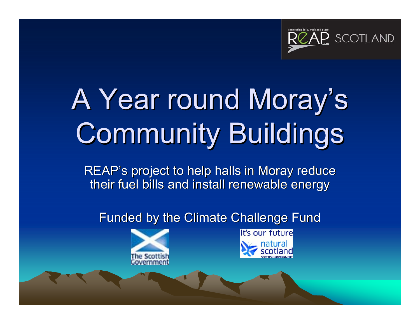

# A Year round Moray's Community Buildings

REAP's project to help halls in Moray reduce their fuel bills and install renewable energy

Funded by the Climate Challenge Fund



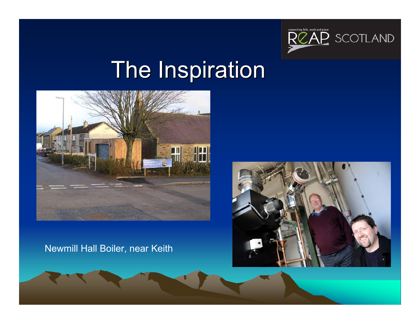

#### **The Inspiration**



Newmill Hall Boiler, near Keith

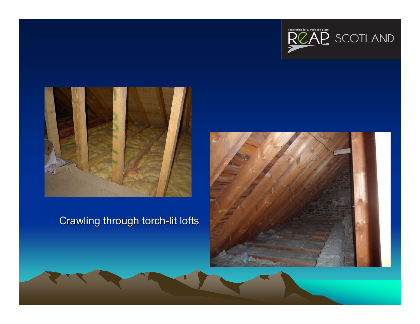



#### Crawling through torch-lit lofts

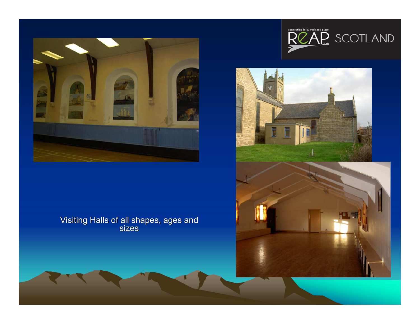

#### Visiting Halls of all shapes, ages and Visiting Halls of all shapes, ages and sizes



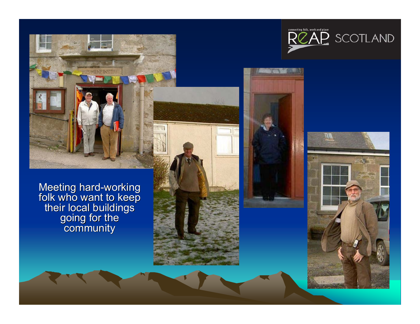Meeting hard-working<br>folk who want to keep their local buildings<br>going for the<br>community



 $\mathcal{L}$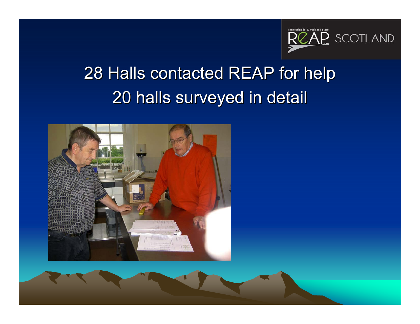

#### 28 Halls contacted REAP for help 20 halls surveyed in detail 20 halls surveyed in detail

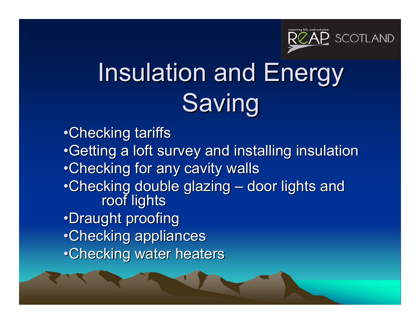

## Insulation and Energy **Saving**

•Checking tariffs •Getting a loft survey and installing insulation •Checking for any cavity walls •Checking double glazing  $\cdot$  $\mathcal{L}_{\mathcal{A}}$  , where  $\mathcal{L}_{\mathcal{A}}$  is the set of the set of the set of the set of the set of the set of the set of the set of the set of the set of the set of the set of the set of the set of the set of the set of the king double glazing – door lights and<br>roof lights •Draught proofing •Checking appliances •Checking water heaters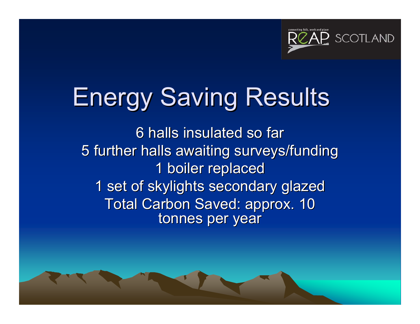

### **Energy Saving Results**

6 halls insulated so far 5 further halls awaiting surveys/funding 1 boiler replaced 1 set of skylights secondary glazed Total Carbon Saved: approx. 10 tonnes per year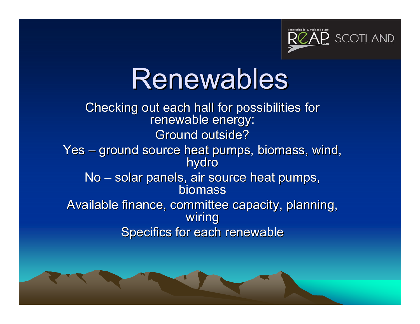

## Renewables

Checking out each hall for possibilities for<br>Checking out each hall for possibilities for Ground outside? Yes – ground source heat pumps, biomass, wind, ground source heat pumps, biomass, wind, hydro No –– solar panels, air source heat pumps, biomass Available finance, committee capacity, planning, Available finance, committee capacity, planning, wiring Specifics for each renewable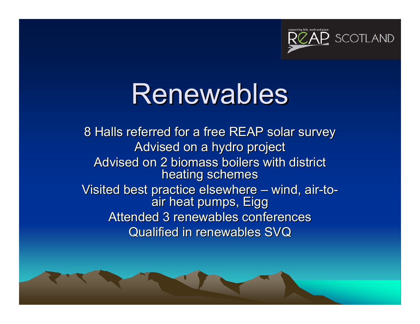

## Renewables

8 Halls referred for a free REAP solar survey Advised on a hydro project Advised on 2 biomass boilers with district heating schemes Visited best practice elsewhere  $\cdot$ –– wind, air-to air heat pumps, Eigg Attended 3 renewables conferences Qualified in renewables SVQ Qualified in renewables SVQ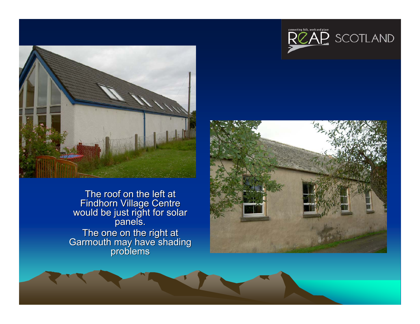

The roof on the left at<br>Findhorn Village Centre<br>would be just right for solar<br>panels. The one on the right at<br>Garmouth may have shading<br>problems





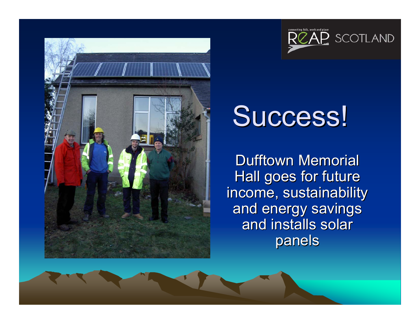



# Success!

Dufftown Memorial Hall goes for future income, sustainability and energy savings and installs solar panels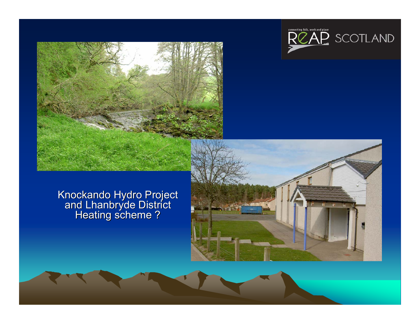



#### Knockando Hydro Project and Lhanbryde District<br>Heating scheme ?

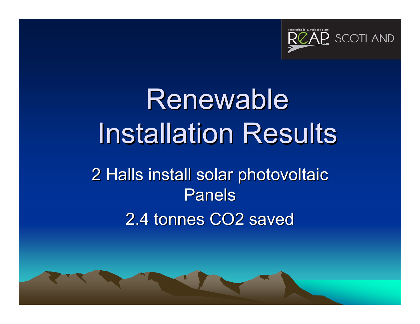

## Renewable **Installation Results** 2 Halls install solar photovoltaic 2 Halls install solar photovoltaic Panels2.4 tonnes CO2 saved

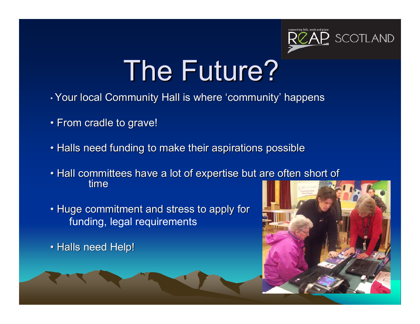

# The Future?

- $\boldsymbol{\cdot}$  Your local Community Hall is where 'community' happens
- $\bullet$  From cradle to grave!
- $\bullet$  Halls need funding to make their aspirations possible
- Hall committees have a lot of expertise but are often short of time
- Huge commitment and stress to apply for funding, legal requirements

• Halls need Help!

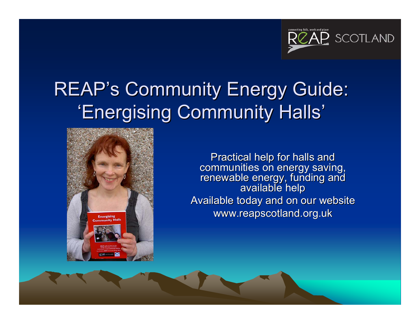

#### REAP's Community Energy Guide: 'Energising Community Halls'



Practical help for halls and communities on energy saving,<br>renewable energy, funding and<br>available help Available today and on our website www.reapscotland.org.uk